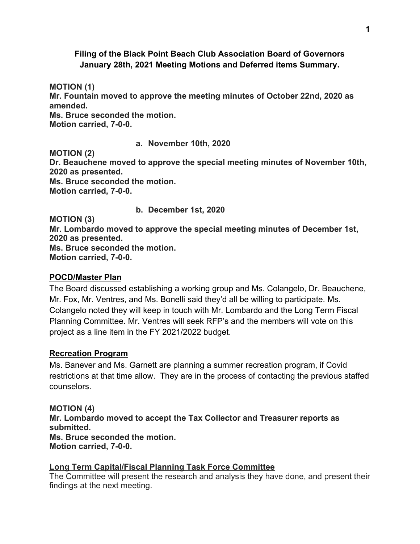### **Filing of the Black Point Beach Club Association Board of Governors January 28th, 2021 Meeting Motions and Deferred items Summary.**

**MOTION (1) Mr. Fountain moved to approve the meeting minutes of October 22nd, 2020 as amended. Ms. Bruce seconded the motion. Motion carried, 7-0-0.**

**a. November 10th, 2020 MOTION (2) Dr. Beauchene moved to approve the special meeting minutes of November 10th, 2020 as presented. Ms. Bruce seconded the motion. Motion carried, 7-0-0.**

**b. December 1st, 2020**

**MOTION (3)**

**Mr. Lombardo moved to approve the special meeting minutes of December 1st, 2020 as presented. Ms. Bruce seconded the motion. Motion carried, 7-0-0.**

#### **POCD/Master Plan**

The Board discussed establishing a working group and Ms. Colangelo, Dr. Beauchene, Mr. Fox, Mr. Ventres, and Ms. Bonelli said they'd all be willing to participate. Ms. Colangelo noted they will keep in touch with Mr. Lombardo and the Long Term Fiscal Planning Committee. Mr. Ventres will seek RFP's and the members will vote on this project as a line item in the FY 2021/2022 budget.

#### **Recreation Program**

Ms. Banever and Ms. Garnett are planning a summer recreation program, if Covid restrictions at that time allow. They are in the process of contacting the previous staffed counselors.

## **MOTION (4)**

**Mr. Lombardo moved to accept the Tax Collector and Treasurer reports as submitted. Ms. Bruce seconded the motion. Motion carried, 7-0-0.**

## **Long Term Capital/Fiscal Planning Task Force Committee**

The Committee will present the research and analysis they have done, and present their findings at the next meeting.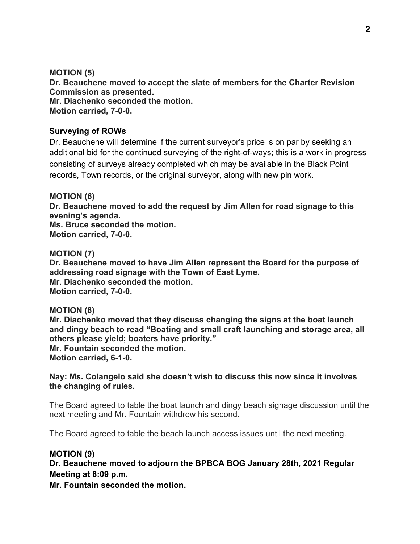**MOTION (5) Dr. Beauchene moved to accept the slate of members for the Charter Revision Commission as presented. Mr. Diachenko seconded the motion. Motion carried, 7-0-0.**

#### **Surveying of ROWs**

Dr. Beauchene will determine if the current surveyor's price is on par by seeking an additional bid for the continued surveying of the right-of-ways; this is a work in progress consisting of surveys already completed which may be available in the Black Point records, Town records, or the original surveyor, along with new pin work.

**MOTION (6) Dr. Beauchene moved to add the request by Jim Allen for road signage to this evening's agenda. Ms. Bruce seconded the motion. Motion carried, 7-0-0.**

**MOTION (7) Dr. Beauchene moved to have Jim Allen represent the Board for the purpose of addressing road signage with the Town of East Lyme. Mr. Diachenko seconded the motion. Motion carried, 7-0-0.**

#### **MOTION (8)**

**Mr. Diachenko moved that they discuss changing the signs at the boat launch and dingy beach to read "Boating and small craft launching and storage area, all others please yield; boaters have priority." Mr. Fountain seconded the motion. Motion carried, 6-1-0.**

**Nay: Ms. Colangelo said she doesn't wish to discuss this now since it involves the changing of rules.**

The Board agreed to table the boat launch and dingy beach signage discussion until the next meeting and Mr. Fountain withdrew his second.

The Board agreed to table the beach launch access issues until the next meeting.

#### **MOTION (9)**

**Dr. Beauchene moved to adjourn the BPBCA BOG January 28th, 2021 Regular Meeting at 8:09 p.m.**

**Mr. Fountain seconded the motion.**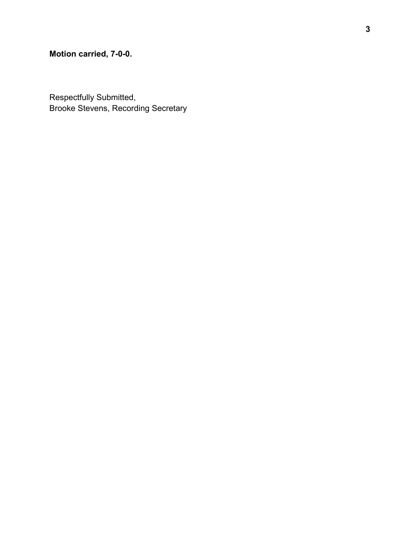# **Motion carried, 7-0-0.**

Respectfully Submitted, Brooke Stevens, Recording Secretary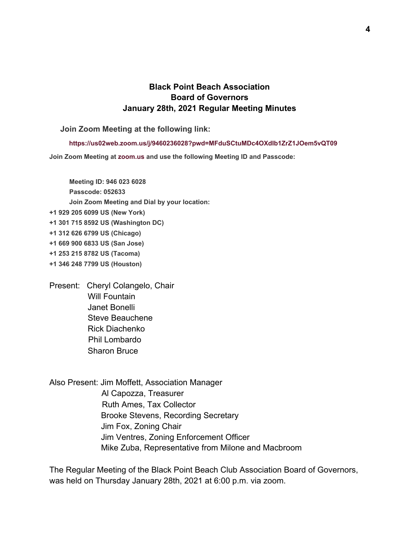# **Black Point Beach Association Board of Governors January 28th, 2021 Regular Meeting Minutes**

**Join Zoom Meeting at the following link:**

**<https://us02web.zoom.us/j/9460236028?pwd=MFduSCtuMDc4OXdIb1ZrZ1JOem5vQT09>**

**Join Zoom Meeting at [zoom.us](http://zoom.us/) and use the following Meeting ID and Passcode:**

**Meeting ID: 946 023 6028 Passcode: 052633 Join Zoom Meeting and Dial by your location: +1 929 205 6099 US (New York) +1 301 715 8592 US (Washington DC) +1 312 626 6799 US (Chicago) +1 669 900 6833 US (San Jose) +1 253 215 8782 US (Tacoma) +1 346 248 7799 US (Houston)**

Present: Cheryl Colangelo, Chair Will Fountain Janet Bonelli Steve Beauchene Rick Diachenko Phil Lombardo Sharon Bruce

Also Present: Jim Moffett, Association Manager Al Capozza, Treasurer Ruth Ames, Tax Collector Brooke Stevens, Recording Secretary Jim Fox, Zoning Chair Jim Ventres, Zoning Enforcement Officer Mike Zuba, Representative from Milone and Macbroom

The Regular Meeting of the Black Point Beach Club Association Board of Governors, was held on Thursday January 28th, 2021 at 6:00 p.m. via zoom.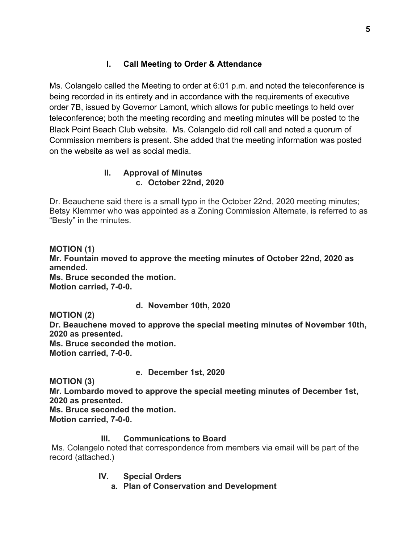# **I. Call Meeting to Order & Attendance**

Ms. Colangelo called the Meeting to order at 6:01 p.m. and noted the teleconference is being recorded in its entirety and in accordance with the requirements of executive order 7B, issued by Governor Lamont, which allows for public meetings to held over teleconference; both the meeting recording and meeting minutes will be posted to the Black Point Beach Club website. Ms. Colangelo did roll call and noted a quorum of Commission members is present. She added that the meeting information was posted on the website as well as social media.

# **II. Approval of Minutes c. October 22nd, 2020**

Dr. Beauchene said there is a small typo in the October 22nd, 2020 meeting minutes; Betsy Klemmer who was appointed as a Zoning Commission Alternate, is referred to as "Besty" in the minutes.

**MOTION (1) Mr. Fountain moved to approve the meeting minutes of October 22nd, 2020 as amended. Ms. Bruce seconded the motion. Motion carried, 7-0-0.**

## **d. November 10th, 2020**

**MOTION (2)**

**Dr. Beauchene moved to approve the special meeting minutes of November 10th, 2020 as presented.**

**Ms. Bruce seconded the motion. Motion carried, 7-0-0.**

**e. December 1st, 2020**

**MOTION (3)**

**Mr. Lombardo moved to approve the special meeting minutes of December 1st, 2020 as presented.**

**Ms. Bruce seconded the motion.**

**Motion carried, 7-0-0.**

## **III. Communications to Board**

 Ms. Colangelo noted that correspondence from members via email will be part of the record (attached.)

**IV. Special Orders**

**a. Plan of Conservation and Development**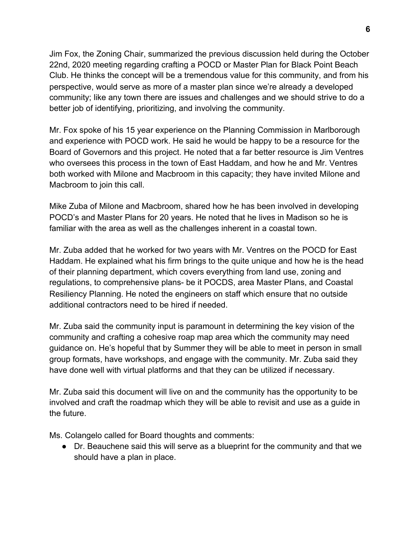Jim Fox, the Zoning Chair, summarized the previous discussion held during the October 22nd, 2020 meeting regarding crafting a POCD or Master Plan for Black Point Beach Club. He thinks the concept will be a tremendous value for this community, and from his perspective, would serve as more of a master plan since we're already a developed community; like any town there are issues and challenges and we should strive to do a better job of identifying, prioritizing, and involving the community.

Mr. Fox spoke of his 15 year experience on the Planning Commission in Marlborough and experience with POCD work. He said he would be happy to be a resource for the Board of Governors and this project. He noted that a far better resource is Jim Ventres who oversees this process in the town of East Haddam, and how he and Mr. Ventres both worked with Milone and Macbroom in this capacity; they have invited Milone and Macbroom to join this call.

Mike Zuba of Milone and Macbroom, shared how he has been involved in developing POCD's and Master Plans for 20 years. He noted that he lives in Madison so he is familiar with the area as well as the challenges inherent in a coastal town.

Mr. Zuba added that he worked for two years with Mr. Ventres on the POCD for East Haddam. He explained what his firm brings to the quite unique and how he is the head of their planning department, which covers everything from land use, zoning and regulations, to comprehensive plans- be it POCDS, area Master Plans, and Coastal Resiliency Planning. He noted the engineers on staff which ensure that no outside additional contractors need to be hired if needed.

Mr. Zuba said the community input is paramount in determining the key vision of the community and crafting a cohesive roap map area which the community may need guidance on. He's hopeful that by Summer they will be able to meet in person in small group formats, have workshops, and engage with the community. Mr. Zuba said they have done well with virtual platforms and that they can be utilized if necessary.

Mr. Zuba said this document will live on and the community has the opportunity to be involved and craft the roadmap which they will be able to revisit and use as a guide in the future.

Ms. Colangelo called for Board thoughts and comments:

● Dr. Beauchene said this will serve as a blueprint for the community and that we should have a plan in place.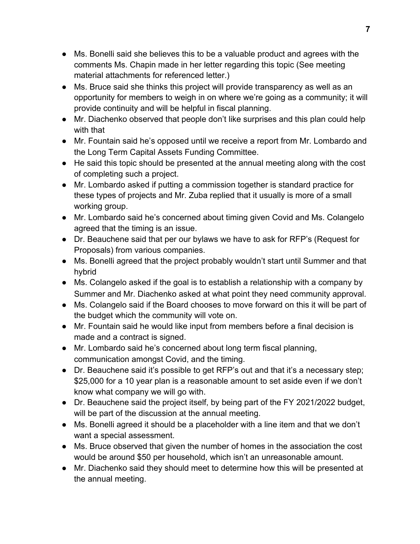- Ms. Bonelli said she believes this to be a valuable product and agrees with the comments Ms. Chapin made in her letter regarding this topic (See meeting material attachments for referenced letter.)
- Ms. Bruce said she thinks this project will provide transparency as well as an opportunity for members to weigh in on where we're going as a community; it will provide continuity and will be helpful in fiscal planning.
- Mr. Diachenko observed that people don't like surprises and this plan could help with that
- Mr. Fountain said he's opposed until we receive a report from Mr. Lombardo and the Long Term Capital Assets Funding Committee.
- He said this topic should be presented at the annual meeting along with the cost of completing such a project.
- Mr. Lombardo asked if putting a commission together is standard practice for these types of projects and Mr. Zuba replied that it usually is more of a small working group.
- Mr. Lombardo said he's concerned about timing given Covid and Ms. Colangelo agreed that the timing is an issue.
- Dr. Beauchene said that per our bylaws we have to ask for RFP's (Request for Proposals) from various companies.
- Ms. Bonelli agreed that the project probably wouldn't start until Summer and that hybrid
- Ms. Colangelo asked if the goal is to establish a relationship with a company by Summer and Mr. Diachenko asked at what point they need community approval.
- Ms. Colangelo said if the Board chooses to move forward on this it will be part of the budget which the community will vote on.
- Mr. Fountain said he would like input from members before a final decision is made and a contract is signed.
- Mr. Lombardo said he's concerned about long term fiscal planning, communication amongst Covid, and the timing.
- Dr. Beauchene said it's possible to get RFP's out and that it's a necessary step; \$25,000 for a 10 year plan is a reasonable amount to set aside even if we don't know what company we will go with.
- Dr. Beauchene said the project itself, by being part of the FY 2021/2022 budget, will be part of the discussion at the annual meeting.
- Ms. Bonelli agreed it should be a placeholder with a line item and that we don't want a special assessment.
- Ms. Bruce observed that given the number of homes in the association the cost would be around \$50 per household, which isn't an unreasonable amount.
- Mr. Diachenko said they should meet to determine how this will be presented at the annual meeting.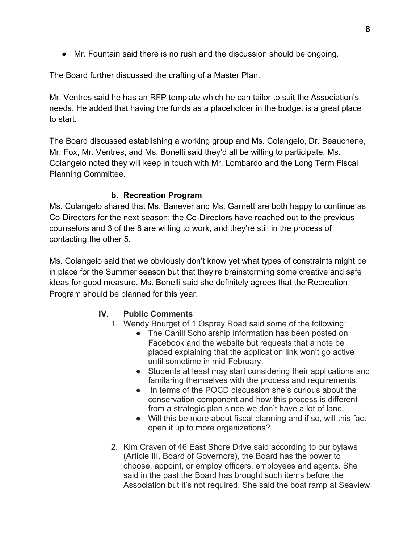● Mr. Fountain said there is no rush and the discussion should be ongoing.

The Board further discussed the crafting of a Master Plan.

Mr. Ventres said he has an RFP template which he can tailor to suit the Association's needs. He added that having the funds as a placeholder in the budget is a great place to start.

The Board discussed establishing a working group and Ms. Colangelo, Dr. Beauchene, Mr. Fox, Mr. Ventres, and Ms. Bonelli said they'd all be willing to participate. Ms. Colangelo noted they will keep in touch with Mr. Lombardo and the Long Term Fiscal Planning Committee.

### **b. Recreation Program**

Ms. Colangelo shared that Ms. Banever and Ms. Garnett are both happy to continue as Co-Directors for the next season; the Co-Directors have reached out to the previous counselors and 3 of the 8 are willing to work, and they're still in the process of contacting the other 5.

Ms. Colangelo said that we obviously don't know yet what types of constraints might be in place for the Summer season but that they're brainstorming some creative and safe ideas for good measure. Ms. Bonelli said she definitely agrees that the Recreation Program should be planned for this year.

## **IV. Public Comments**

- 1. Wendy Bourget of 1 Osprey Road said some of the following:
	- The Cahill Scholarship information has been posted on Facebook and the website but requests that a note be placed explaining that the application link won't go active until sometime in mid-February.
	- Students at least may start considering their applications and familaring themselves with the process and requirements.
	- In terms of the POCD discussion she's curious about the conservation component and how this process is different from a strategic plan since we don't have a lot of land.
	- Will this be more about fiscal planning and if so, will this fact open it up to more organizations?
- 2. Kim Craven of 46 East Shore Drive said according to our bylaws (Article III, Board of Governors), the Board has the power to choose, appoint, or employ officers, employees and agents. She said in the past the Board has brought such items before the Association but it's not required. She said the boat ramp at Seaview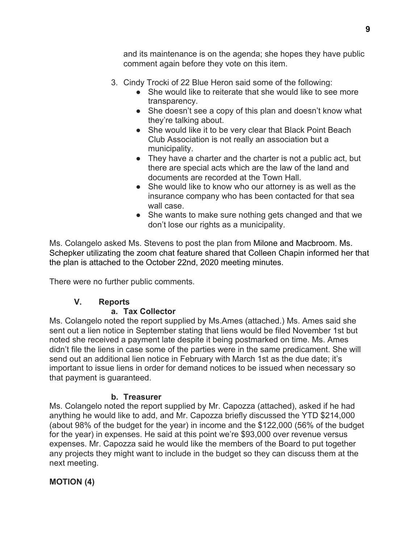and its maintenance is on the agenda; she hopes they have public comment again before they vote on this item.

- 3. Cindy Trocki of 22 Blue Heron said some of the following:
	- She would like to reiterate that she would like to see more transparency.
	- She doesn't see a copy of this plan and doesn't know what they're talking about.
	- She would like it to be very clear that Black Point Beach Club Association is not really an association but a municipality.
	- They have a charter and the charter is not a public act, but there are special acts which are the law of the land and documents are recorded at the Town Hall.
	- She would like to know who our attorney is as well as the insurance company who has been contacted for that sea wall case.
	- She wants to make sure nothing gets changed and that we don't lose our rights as a municipality.

Ms. Colangelo asked Ms. Stevens to post the plan from Milone and Macbroom. Ms. Schepker utilizating the zoom chat feature shared that Colleen Chapin informed her that the plan is attached to the October 22nd, 2020 meeting minutes.

There were no further public comments.

# **V. Reports**

# **a. Tax Collector**

Ms. Colangelo noted the report supplied by Ms.Ames (attached.) Ms. Ames said she sent out a lien notice in September stating that liens would be filed November 1st but noted she received a payment late despite it being postmarked on time. Ms. Ames didn't file the liens in case some of the parties were in the same predicament. She will send out an additional lien notice in February with March 1st as the due date; it's important to issue liens in order for demand notices to be issued when necessary so that payment is guaranteed.

# **b. Treasurer**

Ms. Colangelo noted the report supplied by Mr. Capozza (attached), asked if he had anything he would like to add, and Mr. Capozza briefly discussed the YTD \$214,000 (about 98% of the budget for the year) in income and the \$122,000 (56% of the budget for the year) in expenses. He said at this point we're \$93,000 over revenue versus expenses. Mr. Capozza said he would like the members of the Board to put together any projects they might want to include in the budget so they can discuss them at the next meeting.

# **MOTION (4)**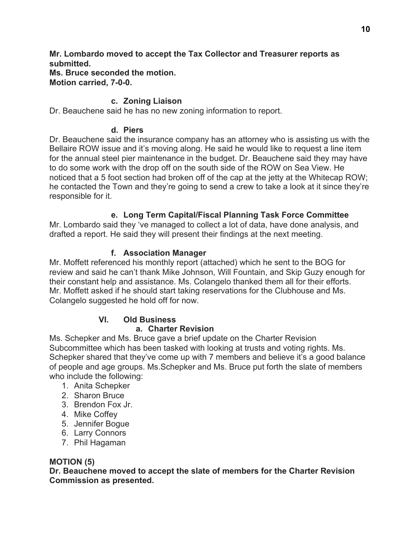**Mr. Lombardo moved to accept the Tax Collector and Treasurer reports as submitted. Ms. Bruce seconded the motion.**

**Motion carried, 7-0-0.**

### **c. Zoning Liaison**

Dr. Beauchene said he has no new zoning information to report.

#### **d. Piers**

Dr. Beauchene said the insurance company has an attorney who is assisting us with the Bellaire ROW issue and it's moving along. He said he would like to request a line item for the annual steel pier maintenance in the budget. Dr. Beauchene said they may have to do some work with the drop off on the south side of the ROW on Sea View. He noticed that a 5 foot section had broken off of the cap at the jetty at the Whitecap ROW; he contacted the Town and they're going to send a crew to take a look at it since they're responsible for it.

### **e. Long Term Capital/Fiscal Planning Task Force Committee**

Mr. Lombardo said they 've managed to collect a lot of data, have done analysis, and drafted a report. He said they will present their findings at the next meeting.

### **f. Association Manager**

Mr. Moffett referenced his monthly report (attached) which he sent to the BOG for review and said he can't thank Mike Johnson, Will Fountain, and Skip Guzy enough for their constant help and assistance. Ms. Colangelo thanked them all for their efforts. Mr. Moffett asked if he should start taking reservations for the Clubhouse and Ms. Colangelo suggested he hold off for now.

## **VI. Old Business**

#### **a. Charter Revision**

Ms. Schepker and Ms. Bruce gave a brief update on the Charter Revision Subcommittee which has been tasked with looking at trusts and voting rights. Ms. Schepker shared that they've come up with 7 members and believe it's a good balance of people and age groups. Ms.Schepker and Ms. Bruce put forth the slate of members who include the following:

- 1. Anita Schepker
- 2. Sharon Bruce
- 3. Brendon Fox Jr.
- 4. Mike Coffey
- 5. Jennifer Bogue
- 6. Larry Connors
- 7. Phil Hagaman

#### **MOTION (5)**

**Dr. Beauchene moved to accept the slate of members for the Charter Revision Commission as presented.**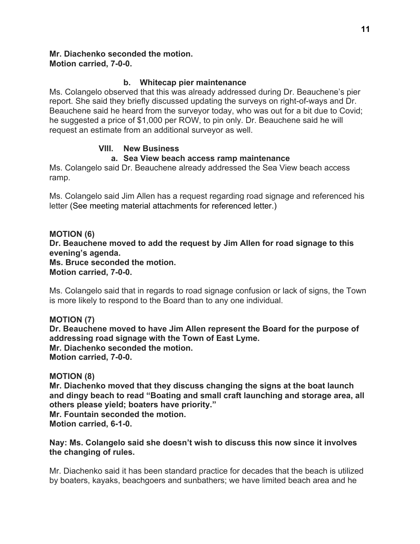# **Mr. Diachenko seconded the motion.**

**Motion carried, 7-0-0.**

# **b. Whitecap pier maintenance**

Ms. Colangelo observed that this was already addressed during Dr. Beauchene's pier report. She said they briefly discussed updating the surveys on right-of-ways and Dr. Beauchene said he heard from the surveyor today, who was out for a bit due to Covid; he suggested a price of \$1,000 per ROW, to pin only. Dr. Beauchene said he will request an estimate from an additional surveyor as well.

# **VIII. New Business**

# **a. Sea View beach access ramp maintenance**

Ms. Colangelo said Dr. Beauchene already addressed the Sea View beach access ramp.

Ms. Colangelo said Jim Allen has a request regarding road signage and referenced his letter (See meeting material attachments for referenced letter.)

### **MOTION (6)**

**Dr. Beauchene moved to add the request by Jim Allen for road signage to this evening's agenda.**

**Ms. Bruce seconded the motion. Motion carried, 7-0-0.**

Ms. Colangelo said that in regards to road signage confusion or lack of signs, the Town is more likely to respond to the Board than to any one individual.

**MOTION (7) Dr. Beauchene moved to have Jim Allen represent the Board for the purpose of addressing road signage with the Town of East Lyme. Mr. Diachenko seconded the motion. Motion carried, 7-0-0.**

## **MOTION (8)**

**Mr. Diachenko moved that they discuss changing the signs at the boat launch and dingy beach to read "Boating and small craft launching and storage area, all others please yield; boaters have priority."**

**Mr. Fountain seconded the motion. Motion carried, 6-1-0.**

**Nay: Ms. Colangelo said she doesn't wish to discuss this now since it involves the changing of rules.**

Mr. Diachenko said it has been standard practice for decades that the beach is utilized by boaters, kayaks, beachgoers and sunbathers; we have limited beach area and he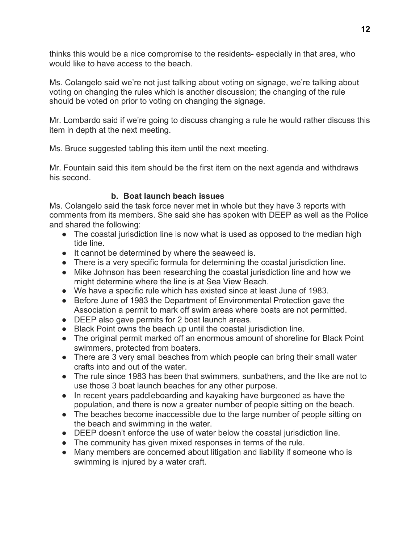thinks this would be a nice compromise to the residents- especially in that area, who would like to have access to the beach.

Ms. Colangelo said we're not just talking about voting on signage, we're talking about voting on changing the rules which is another discussion; the changing of the rule should be voted on prior to voting on changing the signage.

Mr. Lombardo said if we're going to discuss changing a rule he would rather discuss this item in depth at the next meeting.

Ms. Bruce suggested tabling this item until the next meeting.

Mr. Fountain said this item should be the first item on the next agenda and withdraws his second.

## **b. Boat launch beach issues**

Ms. Colangelo said the task force never met in whole but they have 3 reports with comments from its members. She said she has spoken with DEEP as well as the Police and shared the following:

- The coastal jurisdiction line is now what is used as opposed to the median high tide line.
- It cannot be determined by where the seaweed is.
- There is a very specific formula for determining the coastal jurisdiction line.
- Mike Johnson has been researching the coastal jurisdiction line and how we might determine where the line is at Sea View Beach.
- We have a specific rule which has existed since at least June of 1983.
- Before June of 1983 the Department of Environmental Protection gave the Association a permit to mark off swim areas where boats are not permitted.
- DEEP also gave permits for 2 boat launch areas.
- Black Point owns the beach up until the coastal jurisdiction line.
- The original permit marked off an enormous amount of shoreline for Black Point swimmers, protected from boaters.
- There are 3 very small beaches from which people can bring their small water crafts into and out of the water.
- The rule since 1983 has been that swimmers, sunbathers, and the like are not to use those 3 boat launch beaches for any other purpose.
- In recent years paddleboarding and kayaking have burgeoned as have the population, and there is now a greater number of people sitting on the beach.
- The beaches become inaccessible due to the large number of people sitting on the beach and swimming in the water.
- DEEP doesn't enforce the use of water below the coastal jurisdiction line.
- The community has given mixed responses in terms of the rule.
- Many members are concerned about litigation and liability if someone who is swimming is injured by a water craft.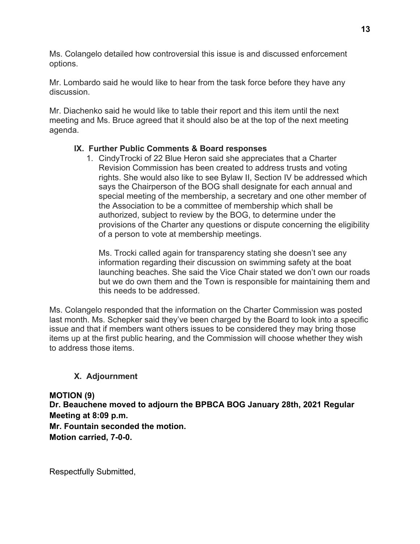Ms. Colangelo detailed how controversial this issue is and discussed enforcement options.

Mr. Lombardo said he would like to hear from the task force before they have any discussion.

Mr. Diachenko said he would like to table their report and this item until the next meeting and Ms. Bruce agreed that it should also be at the top of the next meeting agenda.

## **IX. Further Public Comments & Board responses**

1. CindyTrocki of 22 Blue Heron said she appreciates that a Charter Revision Commission has been created to address trusts and voting rights. She would also like to see Bylaw II, Section IV be addressed which says the Chairperson of the BOG shall designate for each annual and special meeting of the membership, a secretary and one other member of the Association to be a committee of membership which shall be authorized, subject to review by the BOG, to determine under the provisions of the Charter any questions or dispute concerning the eligibility of a person to vote at membership meetings.

Ms. Trocki called again for transparency stating she doesn't see any information regarding their discussion on swimming safety at the boat launching beaches. She said the Vice Chair stated we don't own our roads but we do own them and the Town is responsible for maintaining them and this needs to be addressed.

Ms. Colangelo responded that the information on the Charter Commission was posted last month. Ms. Schepker said they've been charged by the Board to look into a specific issue and that if members want others issues to be considered they may bring those items up at the first public hearing, and the Commission will choose whether they wish to address those items.

# **X. Adjournment**

**MOTION (9) Dr. Beauchene moved to adjourn the BPBCA BOG January 28th, 2021 Regular Meeting at 8:09 p.m. Mr. Fountain seconded the motion. Motion carried, 7-0-0.**

Respectfully Submitted,